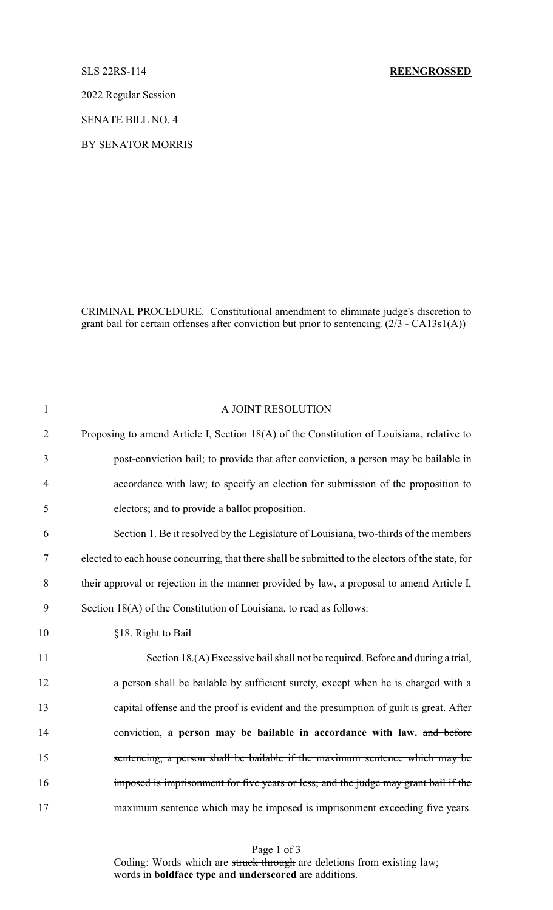## SLS 22RS-114 **REENGROSSED**

2022 Regular Session

SENATE BILL NO. 4

BY SENATOR MORRIS

CRIMINAL PROCEDURE. Constitutional amendment to eliminate judge's discretion to grant bail for certain offenses after conviction but prior to sentencing. (2/3 - CA13s1(A))

| $\mathbf{1}$   | A JOINT RESOLUTION                                                                                |
|----------------|---------------------------------------------------------------------------------------------------|
| $\overline{2}$ | Proposing to amend Article I, Section 18(A) of the Constitution of Louisiana, relative to         |
| 3              | post-conviction bail; to provide that after conviction, a person may be bailable in               |
| $\overline{4}$ | accordance with law; to specify an election for submission of the proposition to                  |
| 5              | electors; and to provide a ballot proposition.                                                    |
| 6              | Section 1. Be it resolved by the Legislature of Louisiana, two-thirds of the members              |
| 7              | elected to each house concurring, that there shall be submitted to the electors of the state, for |
| 8              | their approval or rejection in the manner provided by law, a proposal to amend Article I,         |
| 9              | Section 18(A) of the Constitution of Louisiana, to read as follows:                               |
| 10             | §18. Right to Bail                                                                                |
| 11             | Section 18.(A) Excessive bail shall not be required. Before and during a trial,                   |
| 12             | a person shall be bailable by sufficient surety, except when he is charged with a                 |
| 13             | capital offense and the proof is evident and the presumption of guilt is great. After             |
| 14             | conviction, a person may be bailable in accordance with law, and before                           |
| 15             | sentencing, a person shall be bailable if the maximum sentence which may be                       |
| 16             | imposed is imprisonment for five years or less; and the judge may grant bail if the               |
| 17             | maximum sentence which may be imposed is imprisonment exceeding five years.                       |

Page 1 of 3 Coding: Words which are struck through are deletions from existing law; words in **boldface type and underscored** are additions.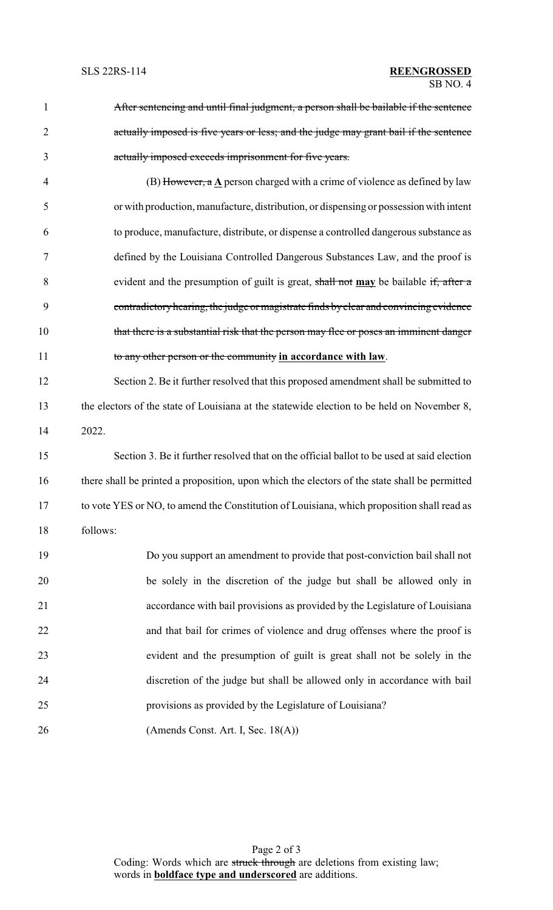After sentencing and until final judgment, a person shall be bailable if the sentence actually imposed is five years or less; and the judge may grant bail if the sentence actually imposed exceeds imprisonment for five years.

 (B) However, a **A** person charged with a crime of violence as defined by law or with production, manufacture, distribution, or dispensing or possessionwith intent to produce, manufacture, distribute, or dispense a controlled dangerous substance as defined by the Louisiana Controlled Dangerous Substances Law, and the proof is evident and the presumption of guilt is great, shall not **may** be bailable if, after a contradictoryhearing, the judge or magistrate finds byclear and convincing evidence 10 that there is a substantial risk that the person may flee or poses an imminent danger to any other person or the community **in accordance with law**.

 Section 2. Be it further resolved that this proposed amendment shall be submitted to the electors of the state of Louisiana at the statewide election to be held on November 8, 2022.

 Section 3. Be it further resolved that on the official ballot to be used at said election there shall be printed a proposition, upon which the electors of the state shall be permitted to vote YES or NO, to amend the Constitution of Louisiana, which proposition shall read as follows:

| 19 | Do you support an amendment to provide that post-conviction bail shall not  |
|----|-----------------------------------------------------------------------------|
| 20 | be solely in the discretion of the judge but shall be allowed only in       |
| 21 | accordance with bail provisions as provided by the Legislature of Louisiana |
| 22 | and that bail for crimes of violence and drug offenses where the proof is   |
| 23 | evident and the presumption of guilt is great shall not be solely in the    |
| 24 | discretion of the judge but shall be allowed only in accordance with bail   |
| 25 | provisions as provided by the Legislature of Louisiana?                     |
| 26 | (Amends Const. Art. I, Sec. $18(A)$ )                                       |